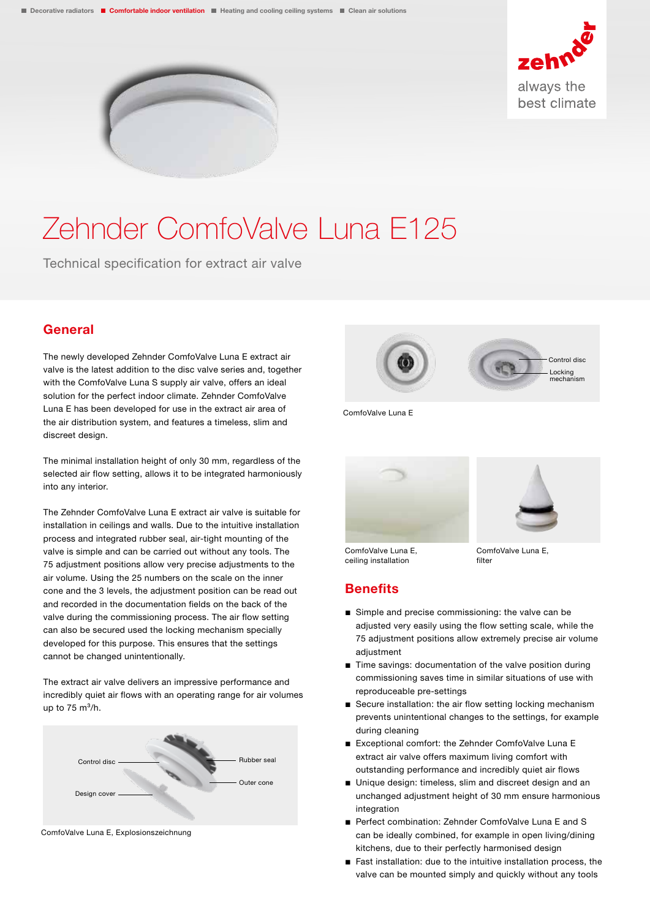



# Zehnder ComfoValve Luna E125

Technical specification for extract air valve

#### General

The newly developed Zehnder ComfoValve Luna E extract air valve is the latest addition to the disc valve series and, together with the ComfoValve Luna S supply air valve, offers an ideal solution for the perfect indoor climate. Zehnder ComfoValve Luna E has been developed for use in the extract air area of the air distribution system, and features a timeless, slim and discreet design.

The minimal installation height of only 30 mm, regardless of the selected air flow setting, allows it to be integrated harmoniously into any interior.

The Zehnder ComfoValve Luna E extract air valve is suitable for installation in ceilings and walls. Due to the intuitive installation process and integrated rubber seal, air-tight mounting of the valve is simple and can be carried out without any tools. The 75 adjustment positions allow very precise adjustments to the air volume. Using the 25 numbers on the scale on the inner cone and the 3 levels, the adjustment position can be read out and recorded in the documentation fields on the back of the valve during the commissioning process. The air flow setting can also be secured used the locking mechanism specially developed for this purpose. This ensures that the settings cannot be changed unintentionally.

The extract air valve delivers an impressive performance and incredibly quiet air flows with an operating range for air volumes up to  $75 \text{ m}^3/h$ .



ComfoValve Luna E, Explosionszeichnung



ComfoValve Luna E





ComfoValve Luna E, ceiling installation

ComfoValve Luna E, filter

#### **Benefits**

- Simple and precise commissioning: the valve can be adjusted very easily using the flow setting scale, while the 75 adjustment positions allow extremely precise air volume adjustment
- Time savings: documentation of the valve position during commissioning saves time in similar situations of use with reproduceable pre-settings
- Secure installation: the air flow setting locking mechanism prevents unintentional changes to the settings, for example during cleaning
- Exceptional comfort: the Zehnder ComfoValve Luna E extract air valve offers maximum living comfort with outstanding performance and incredibly quiet air flows
- Unique design: timeless, slim and discreet design and an unchanged adjustment height of 30 mm ensure harmonious integration
- Perfect combination: Zehnder ComfoValve Luna F and S can be ideally combined, for example in open living/dining kitchens, due to their perfectly harmonised design
- Fast installation: due to the intuitive installation process, the valve can be mounted simply and quickly without any tools